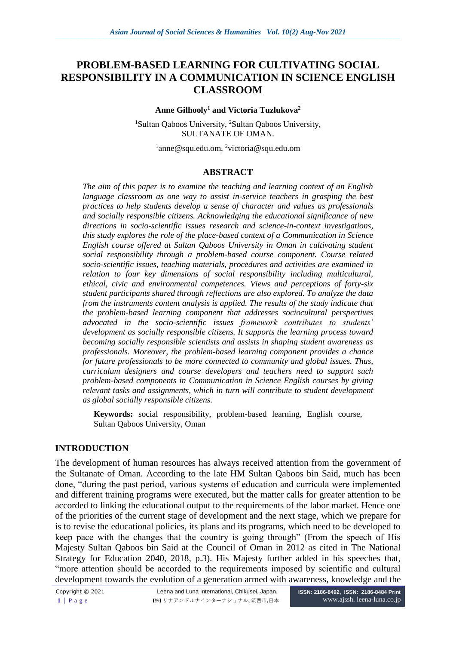# **PROBLEM-BASED LEARNING FOR CULTIVATING SOCIAL RESPONSIBILITY IN A COMMUNICATION IN SCIENCE ENGLISH CLASSROOM**

#### **Anne Gilhooly<sup>1</sup> and Victoria Tuzlukova<sup>2</sup>**

<sup>1</sup>Sultan Qaboos University, <sup>2</sup>Sultan Qaboos University, SULTANATE OF OMAN.

<sup>1</sup>anne@squ.edu.om, <sup>2</sup>victoria@squ.edu.om

### **ABSTRACT**

*The aim of this paper is to examine the teaching and learning context of an English language classroom as one way to assist in-service teachers in grasping the best practices to help students develop a sense of character and values as professionals and socially responsible citizens. Acknowledging the educational significance of new directions in socio-scientific issues research and science-in-context investigations, this study explores the role of the place-based context of a Communication in Science English course offered at Sultan Qaboos University in Oman in cultivating student social responsibility through a problem-based course component. Course related socio-scientific issues, teaching materials, procedures and activities are examined in relation to four key dimensions of social responsibility including multicultural, ethical, civic and environmental competences. Views and perceptions of forty-six student participants shared through reflections are also explored. To analyze the data from the instruments content analysis is applied. The results of the study indicate that the problem-based learning component that addresses sociocultural perspectives advocated in the socio-scientific issues framework contributes to students' development as socially responsible citizens. It supports the learning process toward becoming socially responsible scientists and assists in shaping student awareness as professionals. Moreover, the problem-based learning component provides a chance for future professionals to be more connected to community and global issues. Thus, curriculum designers and course developers and teachers need to support such problem-based components in Communication in Science English courses by giving relevant tasks and assignments, which in turn will contribute to student development as global socially responsible citizens.*

**Keywords:** social responsibility, problem-based learning, English course, Sultan Qaboos University, Oman

## **INTRODUCTION**

The development of human resources has always received attention from the government of the Sultanate of Oman. According to the late HM Sultan Qaboos bin Said, much has been done, "during the past period, various systems of education and curricula were implemented and different training programs were executed, but the matter calls for greater attention to be accorded to linking the educational output to the requirements of the labor market. Hence one of the priorities of the current stage of development and the next stage, which we prepare for is to revise the educational policies, its plans and its programs, which need to be developed to keep pace with the changes that the country is going through" (From the speech of His Majesty Sultan Qaboos bin Said at the Council of Oman in 2012 as cited in The National Strategy for Education 2040, 2018, p.3). His Majesty further added in his speeches that, "more attention should be accorded to the requirements imposed by scientific and cultural development towards the evolution of a generation armed with awareness, knowledge and the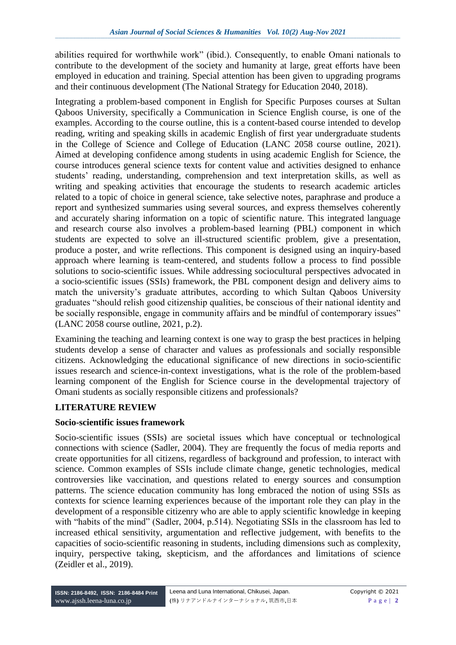abilities required for worthwhile work" (ibid.). Consequently, to enable Omani nationals to contribute to the development of the society and humanity at large, great efforts have been employed in education and training. Special attention has been given to upgrading programs and their continuous development (The National Strategy for Education 2040, 2018).

Integrating a problem-based component in English for Specific Purposes courses at Sultan Qaboos University, specifically a Communication in Science English course, is one of the examples. According to the course outline, this is a content-based course intended to develop reading, writing and speaking skills in academic English of first year undergraduate students in the College of Science and College of Education (LANC 2058 course outline, 2021). Aimed at developing confidence among students in using academic English for Science, the course introduces general science texts for content value and activities designed to enhance students' reading, understanding, comprehension and text interpretation skills, as well as writing and speaking activities that encourage the students to research academic articles related to a topic of choice in general science, take selective notes, paraphrase and produce a report and synthesized summaries using several sources, and express themselves coherently and accurately sharing information on a topic of scientific nature. This integrated language and research course also involves a problem-based learning (PBL) component in which students are expected to solve an ill-structured scientific problem, give a presentation, produce a poster, and write reflections. This component is designed using an inquiry-based approach where learning is team-centered, and students follow a process to find possible solutions to socio-scientific issues. While addressing sociocultural perspectives advocated in a socio-scientific issues (SSIs) framework, the PBL component design and delivery aims to match the university's graduate attributes, according to which Sultan Qaboos University graduates "should relish good citizenship qualities, be conscious of their national identity and be socially responsible, engage in community affairs and be mindful of contemporary issues" (LANC 2058 course outline, 2021, p.2).

Examining the teaching and learning context is one way to grasp the best practices in helping students develop a sense of character and values as professionals and socially responsible citizens. Acknowledging the educational significance of new directions in socio-scientific issues research and science-in-context investigations, what is the role of the problem-based learning component of the English for Science course in the developmental trajectory of Omani students as socially responsible citizens and professionals?

## **LITERATURE REVIEW**

## **Socio-scientific issues framework**

Socio-scientific issues (SSIs) are societal issues which have conceptual or technological connections with science (Sadler, 2004). They are frequently the focus of media reports and create opportunities for all citizens, regardless of background and profession, to interact with science. Common examples of SSIs include climate change, genetic technologies, medical controversies like vaccination, and questions related to energy sources and consumption patterns. The science education community has long embraced the notion of using SSIs as contexts for science learning experiences because of the important role they can play in the development of a responsible citizenry who are able to apply scientific knowledge in keeping with "habits of the mind" (Sadler, 2004, p.514). Negotiating SSIs in the classroom has led to increased ethical sensitivity, argumentation and reflective judgement, with benefits to the capacities of socio-scientific reasoning in students, including dimensions such as complexity, inquiry, perspective taking, skepticism, and the affordances and limitations of science (Zeidler et al., 2019).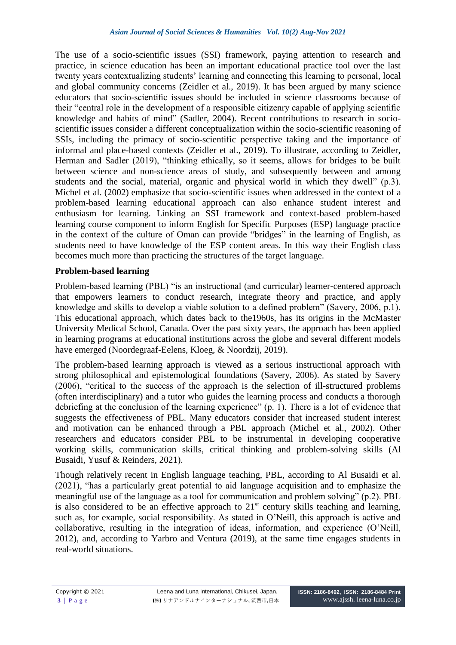The use of a socio-scientific issues (SSI) framework, paying attention to research and practice, in science education has been an important educational practice tool over the last twenty years contextualizing students' learning and connecting this learning to personal, local and global community concerns (Zeidler et al., 2019). It has been argued by many science educators that socio-scientific issues should be included in science classrooms because of their "central role in the development of a responsible citizenry capable of applying scientific knowledge and habits of mind" (Sadler, 2004). Recent contributions to research in socioscientific issues consider a different conceptualization within the socio-scientific reasoning of SSIs, including the primacy of socio-scientific perspective taking and the importance of informal and place-based contexts (Zeidler et al., 2019). To illustrate, according to Zeidler, Herman and Sadler (2019), "thinking ethically, so it seems, allows for bridges to be built between science and non-science areas of study, and subsequently between and among students and the social, material, organic and physical world in which they dwell" (p.3). Michel et al. (2002) emphasize that socio-scientific issues when addressed in the context of a problem-based learning educational approach can also enhance student interest and enthusiasm for learning. Linking an SSI framework and context-based problem-based learning course component to inform English for Specific Purposes (ESP) language practice in the context of the culture of Oman can provide "bridges" in the learning of English, as students need to have knowledge of the ESP content areas. In this way their English class becomes much more than practicing the structures of the target language.

## **Problem-based learning**

Problem-based learning (PBL) "is an instructional (and curricular) learner-centered approach that empowers learners to conduct research, integrate theory and practice, and apply knowledge and skills to develop a viable solution to a defined problem" (Savery, 2006, p.1). This educational approach, which dates back to the1960s, has its origins in the McMaster University Medical School, Canada. Over the past sixty years, the approach has been applied in learning programs at educational institutions across the globe and several different models have emerged (Noordegraaf-Eelens, Kloeg, & Noordzij, 2019).

The problem-based learning approach is viewed as a serious instructional approach with strong philosophical and epistemological foundations (Savery, 2006). As stated by Savery (2006), "critical to the success of the approach is the selection of ill-structured problems (often interdisciplinary) and a tutor who guides the learning process and conducts a thorough debriefing at the conclusion of the learning experience" (p. 1). There is a lot of evidence that suggests the effectiveness of PBL. Many educators consider that increased student interest and motivation can be enhanced through a PBL approach (Michel et al., 2002). Other researchers and educators consider PBL to be instrumental in developing cooperative working skills, communication skills, critical thinking and problem-solving skills (Al Busaidi, Yusuf & Reinders, 2021).

Though relatively recent in English language teaching, PBL, according to Al Busaidi et al. (2021), "has a particularly great potential to aid language acquisition and to emphasize the meaningful use of the language as a tool for communication and problem solving" (p.2). PBL is also considered to be an effective approach to  $21<sup>st</sup>$  century skills teaching and learning, such as, for example, social responsibility. As stated in O'Neill, this approach is active and collaborative, resulting in the integration of ideas, information, and experience (O'Neill, 2012), and, according to Yarbro and Ventura (2019), at the same time engages students in real-world situations.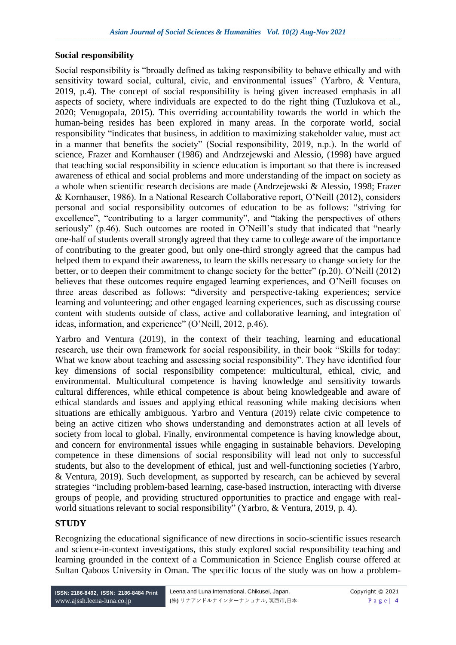#### **Social responsibility**

Social responsibility is "broadly defined as taking responsibility to behave ethically and with sensitivity toward social, cultural, civic, and environmental issues" (Yarbro, & Ventura, 2019, p.4). The concept of social responsibility is being given increased emphasis in all aspects of society, where individuals are expected to do the right thing (Tuzlukova et al., 2020; Venugopala, 2015). This overriding accountability towards the world in which the human-being resides has been explored in many areas. In the corporate world, social responsibility "indicates that business, in addition to maximizing stakeholder value, must act in a manner that benefits the society" (Social responsibility, 2019, n.p.). In the world of science, Frazer and Kornhauser (1986) and Andrzejewski and Alessio, (1998) have argued that teaching social responsibility in science education is important so that there is increased awareness of ethical and social problems and more understanding of the impact on society as a whole when scientific research decisions are made (Andrzejewski & Alessio, 1998; Frazer & Kornhauser, 1986). In a National Research Collaborative report, O'Neill (2012), considers personal and social responsibility outcomes of education to be as follows: "striving for excellence", "contributing to a larger community", and "taking the perspectives of others seriously" (p.46). Such outcomes are rooted in O'Neill's study that indicated that "nearly one-half of students overall strongly agreed that they came to college aware of the importance of contributing to the greater good, but only one-third strongly agreed that the campus had helped them to expand their awareness, to learn the skills necessary to change society for the better, or to deepen their commitment to change society for the better" (p.20). O'Neill (2012) believes that these outcomes require engaged learning experiences, and O'Neill focuses on three areas described as follows: "diversity and perspective-taking experiences; service learning and volunteering; and other engaged learning experiences, such as discussing course content with students outside of class, active and collaborative learning, and integration of ideas, information, and experience" (O'Neill, 2012, p.46).

Yarbro and Ventura (2019), in the context of their teaching, learning and educational research, use their own framework for social responsibility, in their book "Skills for today: What we know about teaching and assessing social responsibility". They have identified four key dimensions of social responsibility competence: multicultural, ethical, civic, and environmental. Multicultural competence is having knowledge and sensitivity towards cultural differences, while ethical competence is about being knowledgeable and aware of ethical standards and issues and applying ethical reasoning while making decisions when situations are ethically ambiguous. Yarbro and Ventura (2019) relate civic competence to being an active citizen who shows understanding and demonstrates action at all levels of society from local to global. Finally, environmental competence is having knowledge about, and concern for environmental issues while engaging in sustainable behaviors. Developing competence in these dimensions of social responsibility will lead not only to successful students, but also to the development of ethical, just and well-functioning societies (Yarbro, & Ventura, 2019). Such development, as supported by research, can be achieved by several strategies "including problem-based learning, case-based instruction, interacting with diverse groups of people, and providing structured opportunities to practice and engage with realworld situations relevant to social responsibility" (Yarbro, & Ventura, 2019, p. 4).

### **STUDY**

Recognizing the educational significance of new directions in socio-scientific issues research and science-in-context investigations, this study explored social responsibility teaching and learning grounded in the context of a Communication in Science English course offered at Sultan Qaboos University in Oman. The specific focus of the study was on how a problem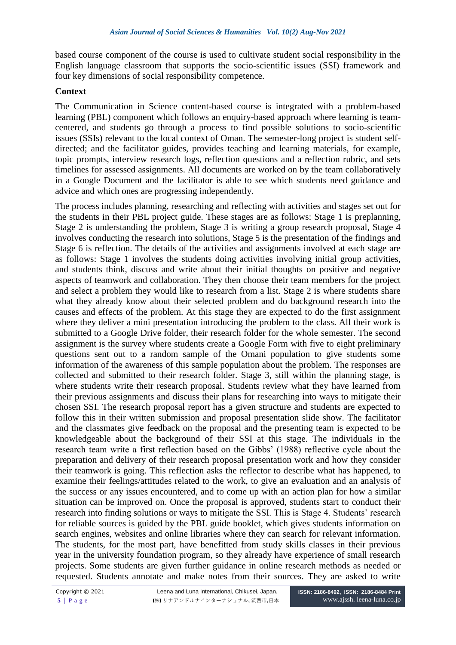based course component of the course is used to cultivate student social responsibility in the English language classroom that supports the socio-scientific issues (SSI) framework and four key dimensions of social responsibility competence.

#### **Context**

The Communication in Science content-based course is integrated with a problem-based learning (PBL) component which follows an enquiry-based approach where learning is teamcentered, and students go through a process to find possible solutions to socio-scientific issues (SSIs) relevant to the local context of Oman. The semester-long project is student selfdirected; and the facilitator guides, provides teaching and learning materials, for example, topic prompts, interview research logs, reflection questions and a reflection rubric, and sets timelines for assessed assignments. All documents are worked on by the team collaboratively in a Google Document and the facilitator is able to see which students need guidance and advice and which ones are progressing independently.

The process includes planning, researching and reflecting with activities and stages set out for the students in their PBL project guide. These stages are as follows: Stage 1 is preplanning, Stage 2 is understanding the problem, Stage 3 is writing a group research proposal, Stage 4 involves conducting the research into solutions, Stage 5 is the presentation of the findings and Stage 6 is reflection. The details of the activities and assignments involved at each stage are as follows: Stage 1 involves the students doing activities involving initial group activities, and students think, discuss and write about their initial thoughts on positive and negative aspects of teamwork and collaboration. They then choose their team members for the project and select a problem they would like to research from a list. Stage 2 is where students share what they already know about their selected problem and do background research into the causes and effects of the problem. At this stage they are expected to do the first assignment where they deliver a mini presentation introducing the problem to the class. All their work is submitted to a Google Drive folder, their research folder for the whole semester. The second assignment is the survey where students create a Google Form with five to eight preliminary questions sent out to a random sample of the Omani population to give students some information of the awareness of this sample population about the problem. The responses are collected and submitted to their research folder. Stage 3, still within the planning stage, is where students write their research proposal. Students review what they have learned from their previous assignments and discuss their plans for researching into ways to mitigate their chosen SSI. The research proposal report has a given structure and students are expected to follow this in their written submission and proposal presentation slide show. The facilitator and the classmates give feedback on the proposal and the presenting team is expected to be knowledgeable about the background of their SSI at this stage. The individuals in the research team write a first reflection based on the Gibbs' (1988) reflective cycle about the preparation and delivery of their research proposal presentation work and how they consider their teamwork is going. This reflection asks the reflector to describe what has happened, to examine their feelings/attitudes related to the work, to give an evaluation and an analysis of the success or any issues encountered, and to come up with an action plan for how a similar situation can be improved on. Once the proposal is approved, students start to conduct their research into finding solutions or ways to mitigate the SSI. This is Stage 4. Students' research for reliable sources is guided by the PBL guide booklet, which gives students information on search engines, websites and online libraries where they can search for relevant information. The students, for the most part, have benefitted from study skills classes in their previous year in the university foundation program, so they already have experience of small research projects. Some students are given further guidance in online research methods as needed or requested. Students annotate and make notes from their sources. They are asked to write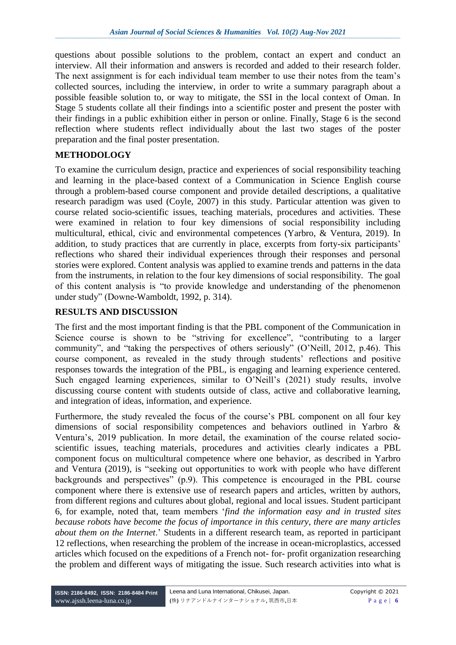questions about possible solutions to the problem, contact an expert and conduct an interview. All their information and answers is recorded and added to their research folder. The next assignment is for each individual team member to use their notes from the team's collected sources, including the interview, in order to write a summary paragraph about a possible feasible solution to, or way to mitigate, the SSI in the local context of Oman. In Stage 5 students collate all their findings into a scientific poster and present the poster with their findings in a public exhibition either in person or online. Finally, Stage 6 is the second reflection where students reflect individually about the last two stages of the poster preparation and the final poster presentation.

## **METHODOLOGY**

To examine the curriculum design, practice and experiences of social responsibility teaching and learning in the place-based context of a Communication in Science English course through a problem-based course component and provide detailed descriptions, a qualitative research paradigm was used (Coyle, 2007) in this study. Particular attention was given to course related socio-scientific issues, teaching materials, procedures and activities. These were examined in relation to four key dimensions of social responsibility including multicultural, ethical, civic and environmental competences (Yarbro, & Ventura, 2019). In addition, to study practices that are currently in place, excerpts from forty-six participants' reflections who shared their individual experiences through their responses and personal stories were explored. Content analysis was applied to examine trends and patterns in the data from the instruments, in relation to the four key dimensions of social responsibility. The goal of this content analysis is "to provide knowledge and understanding of the phenomenon under study" (Downe-Wamboldt, 1992, p. 314).

## **RESULTS AND DISCUSSION**

The first and the most important finding is that the PBL component of the Communication in Science course is shown to be "striving for excellence", "contributing to a larger community", and "taking the perspectives of others seriously" (O'Neill, 2012, p.46). This course component, as revealed in the study through students' reflections and positive responses towards the integration of the PBL, is engaging and learning experience centered. Such engaged learning experiences, similar to O'Neill's (2021) study results, involve discussing course content with students outside of class, active and collaborative learning, and integration of ideas, information, and experience.

Furthermore, the study revealed the focus of the course's PBL component on all four key dimensions of social responsibility competences and behaviors outlined in Yarbro & Ventura's, 2019 publication. In more detail, the examination of the course related socioscientific issues, teaching materials, procedures and activities clearly indicates a PBL component focus on multicultural competence where one behavior, as described in Yarbro and Ventura (2019), is "seeking out opportunities to work with people who have different backgrounds and perspectives" (p.9). This competence is encouraged in the PBL course component where there is extensive use of research papers and articles, written by authors, from different regions and cultures about global, regional and local issues. Student participant 6, for example, noted that, team members '*find the information easy and in trusted sites because robots have become the focus of importance in this century, there are many articles about them on the Internet*.' Students in a different research team, as reported in participant 12 reflections, when researching the problem of the increase in ocean-microplastics, accessed articles which focused on the expeditions of a French not- for- profit organization researching the problem and different ways of mitigating the issue. Such research activities into what is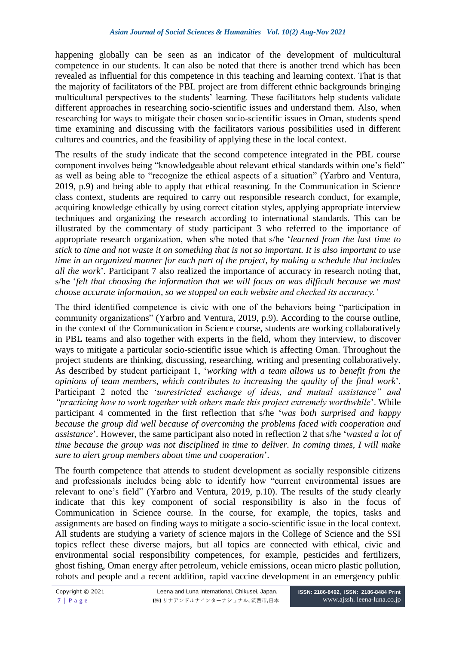happening globally can be seen as an indicator of the development of multicultural competence in our students. It can also be noted that there is another trend which has been revealed as influential for this competence in this teaching and learning context. That is that the majority of facilitators of the PBL project are from different ethnic backgrounds bringing multicultural perspectives to the students' learning. These facilitators help students validate different approaches in researching socio-scientific issues and understand them. Also, when researching for ways to mitigate their chosen socio-scientific issues in Oman, students spend time examining and discussing with the facilitators various possibilities used in different cultures and countries, and the feasibility of applying these in the local context.

The results of the study indicate that the second competence integrated in the PBL course component involves being "knowledgeable about relevant ethical standards within one's field" as well as being able to "recognize the ethical aspects of a situation" (Yarbro and Ventura, 2019, p.9) and being able to apply that ethical reasoning. In the Communication in Science class context, students are required to carry out responsible research conduct, for example, acquiring knowledge ethically by using correct citation styles, applying appropriate interview techniques and organizing the research according to international standards. This can be illustrated by the commentary of study participant 3 who referred to the importance of appropriate research organization, when s/he noted that s/he '*learned from the last time to stick to time and not waste it on something that is not so important. It is also important to use time in an organized manner for each part of the project, by making a schedule that includes all the work*'. Participant 7 also realized the importance of accuracy in research noting that, s/he '*felt that choosing the information that we will focus on was difficult because we must choose accurate information, so we stopped on each website and checked its accuracy.'*

The third identified competence is civic with one of the behaviors being "participation in community organizations" (Yarbro and Ventura, 2019, p.9). According to the course outline, in the context of the Communication in Science course, students are working collaboratively in PBL teams and also together with experts in the field, whom they interview, to discover ways to mitigate a particular socio-scientific issue which is affecting Oman. Throughout the project students are thinking, discussing, researching, writing and presenting collaboratively. As described by student participant 1, '*working with a team allows us to benefit from the opinions of team members, which contributes to increasing the quality of the final work*'. Participant 2 noted the '*unrestricted exchange of ideas, and mutual assistance" and "practicing how to work together with others made this project extremely worthwhile*'. While participant 4 commented in the first reflection that s/he '*was both surprised and happy because the group did well because of overcoming the problems faced with cooperation and assistance*'. However, the same participant also noted in reflection 2 that s/he '*wasted a lot of time because the group was not disciplined in time to deliver. In coming times, I will make sure to alert group members about time and cooperation*'.

The fourth competence that attends to student development as socially responsible citizens and professionals includes being able to identify how "current environmental issues are relevant to one's field" (Yarbro and Ventura, 2019, p.10). The results of the study clearly indicate that this key component of social responsibility is also in the focus of Communication in Science course. In the course, for example, the topics, tasks and assignments are based on finding ways to mitigate a socio-scientific issue in the local context. All students are studying a variety of science majors in the College of Science and the SSI topics reflect these diverse majors, but all topics are connected with ethical, civic and environmental social responsibility competences, for example, pesticides and fertilizers, ghost fishing, Oman energy after petroleum, vehicle emissions, ocean micro plastic pollution, robots and people and a recent addition, rapid vaccine development in an emergency public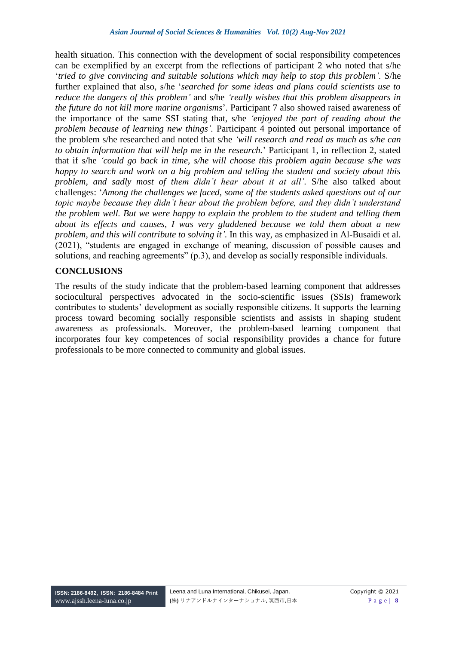health situation. This connection with the development of social responsibility competences can be exemplified by an excerpt from the reflections of participant 2 who noted that s/he '*tried to give convincing and suitable solutions which may help to stop this problem'.* S/he further explained that also, s/he '*searched for some ideas and plans could scientists use to reduce the dangers of this problem'* and s/he *'really wishes that this problem disappears in the future do not kill more marine organisms*'. Participant 7 also showed raised awareness of the importance of the same SSI stating that, s/he *'enjoyed the part of reading about the problem because of learning new things'.* Participant 4 pointed out personal importance of the problem s/he researched and noted that s/he *'will research and read as much as s/he can to obtain information that will help me in the research.*' Participant 1, in reflection 2, stated that if s/he *'could go back in time, s/he will choose this problem again because s/he was happy to search and work on a big problem and telling the student and society about this problem, and sadly most of them didn't hear about it at all'.* S/he also talked about challenges: '*Among the challenges we faced, some of the students asked questions out of our topic maybe because they didn't hear about the problem before, and they didn't understand the problem well. But we were happy to explain the problem to the student and telling them about its effects and causes, I was very gladdened because we told them about a new problem, and this will contribute to solving it'.* In this way, as emphasized in Al-Busaidi et al. (2021), "students are engaged in exchange of meaning, discussion of possible causes and solutions, and reaching agreements" (p.3), and develop as socially responsible individuals.

### **CONCLUSIONS**

The results of the study indicate that the problem-based learning component that addresses sociocultural perspectives advocated in the socio-scientific issues (SSIs) framework contributes to students' development as socially responsible citizens. It supports the learning process toward becoming socially responsible scientists and assists in shaping student awareness as professionals. Moreover, the problem-based learning component that incorporates four key competences of social responsibility provides a chance for future professionals to be more connected to community and global issues.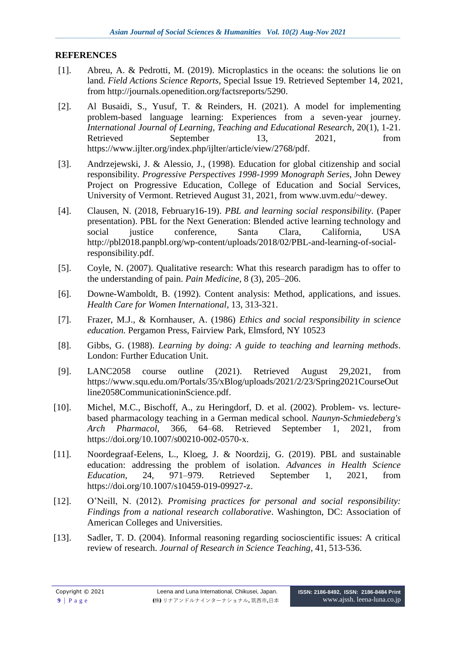#### **REFERENCES**

- [1]. Abreu, A. & Pedrotti, M. (2019). Microplastics in the oceans: the solutions lie on land. *Field Actions Science Reports*, Special Issue 19. Retrieved September 14, 2021, from [http://journals.openedition.org/factsreports/5290.](http://journals.openedition.org/factsreports/5290)
- [2]. Al Busaidi, S., Yusuf, T. & Reinders, H. (2021). A model for implementing problem-based language learning: Experiences from a seven-year journey. *International Journal of Learning, Teaching and Educational Research*, 20(1), 1-21. Retrieved September 13, 2021, from [https://www.ijlter.org/index.php/ijlter/article/view/2768/pdf.](https://www.ijlter.org/index.php/ijlter/article/view/2768/pdf)
- [3]. Andrzejewski, J. & Alessio, J., (1998). Education for global citizenship and social responsibility. *Progressive Perspectives 1998-1999 Monograph Series*, John Dewey Project on Progressive Education, College of Education and Social Services, University of Vermont. Retrieved August 31, 2021, from [www.uvm.edu/~dewey.](http://www.uvm.edu/~dewey)
- [4]. Clausen, N. (2018, February16-19). *PBL and learning social responsibility*. (Paper presentation). PBL for the Next Generation: Blended active learning technology and social justice conference, Santa Clara, California, USA http://pbl2018.panpbl.org/wp-content/uploads/2018/02/PBL-and-learning-of-socialresponsibility.pdf.
- [5]. Coyle, N. (2007). Qualitative research: What this research paradigm has to offer to the understanding of pain. *Pain Medicine*, 8 (3), 205–206.
- [6]. Downe-Wamboldt, B. (1992). Content analysis: Method, applications, and issues. *Health Care for Women International*, 13, 313-321.
- [7]. Frazer, M.J., & Kornhauser, A. (1986) *Ethics and social responsibility in science education.* Pergamon Press, Fairview Park, Elmsford, NY 10523
- [8]. Gibbs, G. (1988). *Learning by doing: A guide to teaching and learning methods*. London: Further Education Unit.
- [9]. LANC2058 course outline (2021). Retrieved August 29,2021, from [https://www.squ.edu.om/Portals/35/xBlog/uploads/2021/2/23/Spring2021CourseOut](https://www.squ.edu.om/Portals/35/xBlog/uploads/2021/2/23/Spring2021CourseOutline2058CommunicationinScience.pdf) [line2058CommunicationinScience.pdf.](https://www.squ.edu.om/Portals/35/xBlog/uploads/2021/2/23/Spring2021CourseOutline2058CommunicationinScience.pdf)
- [10]. Michel, M.C., Bischoff, A., zu Heringdorf, D. et al. (2002). Problem- vs. lecturebased pharmacology teaching in a German medical school. *Naunyn-Schmiedeberg's Arch Pharmacol*, 366, 64–68. Retrieved September 1, 2021, from [https://doi.org/10.1007/s00210-002-0570-x.](https://doi.org/10.1007/s00210-002-0570-x)
- [11]. Noordegraaf-Eelens, L., Kloeg, J. & Noordzij, G. (2019). PBL and sustainable education: addressing the problem of isolation. *Advances in Health Science Education*, 24, 971–979. Retrieved September 1, 2021, from [https://doi.org/10.1007/s10459-019-09927-z.](https://doi.org/10.1007/s10459-019-09927-z)
- [12]. O'Neill, N. (2012). *Promising practices for personal and social responsibility: Findings from a national research collaborative*. Washington, DC: Association of American Colleges and Universities.
- [13]. Sadler, T. D. (2004). Informal reasoning regarding socioscientific issues: A critical review of research. *Journal of Research in Science Teaching*, 41, 513-536.